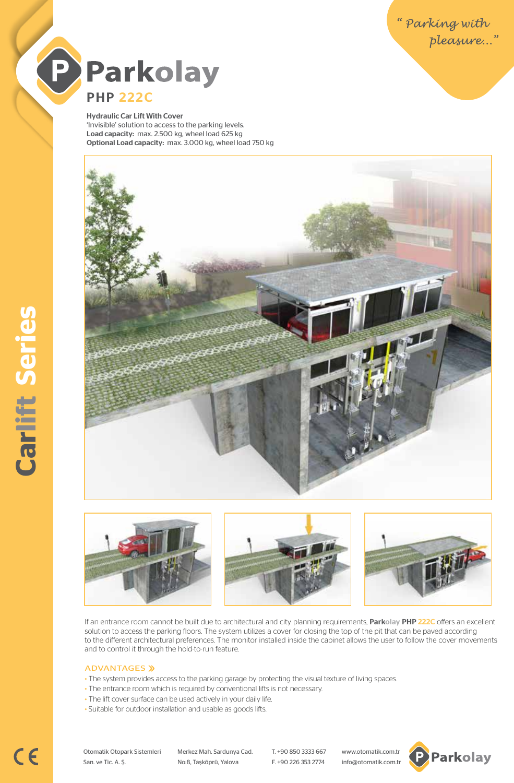

Hydraulic Car Lift With Cover 'Invisible' solution to access to the parking levels. Load capacity: max. 2.500 kg, wheel load 625 kg Optional Load capacity: max. 3.000 kg, wheel load 750 kg





If an entrance room cannot be built due to architectural and city planning requirements, Parkolay PHP 222C offers an excellent solution to access the parking floors. The system utilizes a cover for closing the top of the pit that can be paved according to the different architectural preferences. The monitor installed inside the cabinet allows the user to follow the cover movements and to control it through the hold-to-run feature.

#### ADVANTAGES »

- The system provides access to the parking garage by protecting the visual texture of living spaces.
- The entrance room which is required by conventional lifts is not necessary.
- The lift cover surface can be used actively in your daily life.
- Suitable for outdoor installation and usable as goods lifts.

Otomatik Otopark Sistemleri Merkez Mah. Sardunya Cad. T. +90 850 3333 667 www.otomatik.com.tr San. ve Tic. A. Ş. No:8, Taşköprü, Yalova F. +90 226 353 2774 info@otomatik.com.tr

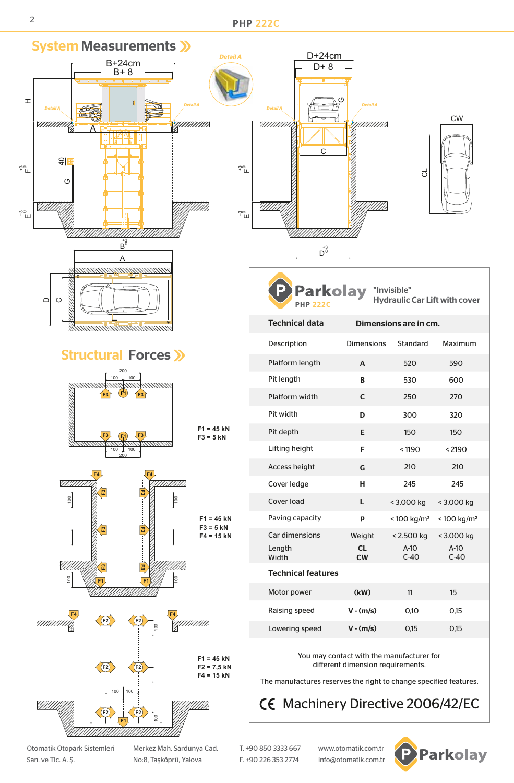2 **PHP 222C** 



San. ve Tic. A. Ş. No:8, Taşköprü, Yalova F. +90 226 353 2774 info@otomatik.com.tr

Otomatik Otopark Sistemleri Merkez Mah. Sardunya Cad. T. +90 850 3333 667 www.otomatik.com.tr

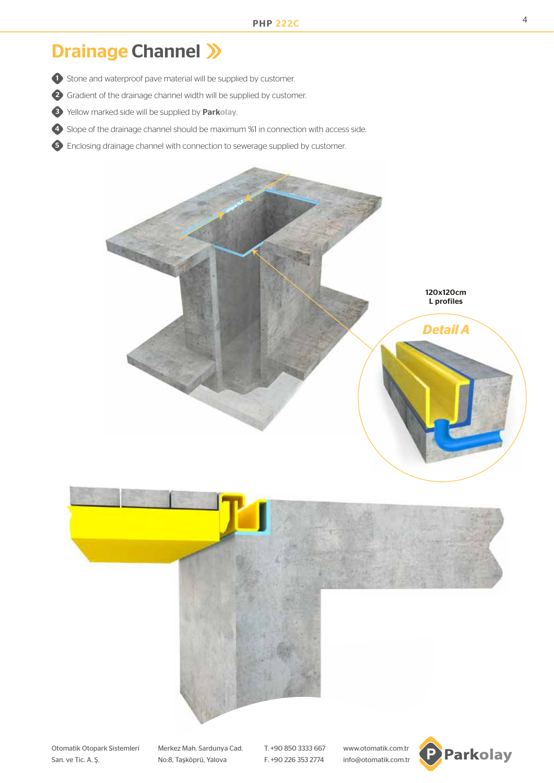# Drainage Channel >>>

- **1** Stone and waterproof pave material will be supplied by customer.
- 2) Gradient of the drainage channel width will be supplied by customer.
- 3 Yellow marked side will be supplied by Parkolay.
- 4) Slope of the drainage channel should be maximum %1 in connection with access side.
- **5** Enclosing drainage channel with connection to sewerage supplied by customer.



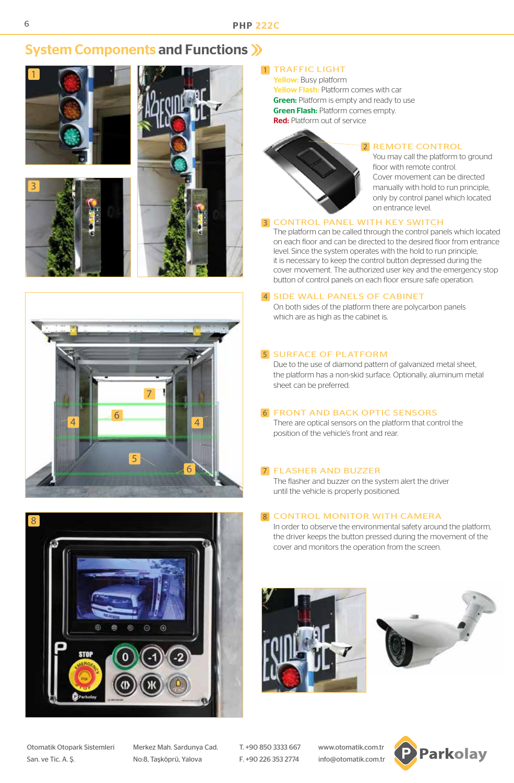# System Components and Functions >>>











# 1 TRAFFIC LIGHT

Yellow: Busy platform Yellow Flash: Platform comes with car **Green:** Platform is empty and ready to use **Green Flash: Platform comes empty.** Red: Platform out of service



## 2 REMOTE CONTROL

You may call the platform to ground floor with remote control. Cover movement can be directed manually with hold to run principle, only by control panel which located on entrance level.

## **3 CONTROL PANEL WITH KEY SWITCH**

The platform can be called through the control panels which located on each floor and can be directed to the desired floor from entrance level. Since the system operates with the hold to run principle, it is necessary to keep the control button depressed during the cover movement. The authorized user key and the emergency stop button of control panels on each floor ensure safe operation.

### 4 SIDE WALL PANELS OF CABINET

On both sides of the platform there are polycarbon panels which are as high as the cabinet is.

### **5 SURFACE OF PLATFORM**

Due to the use of diamond pattern of galvanized metal sheet, the platform has a non-skid surface. Optionally, aluminum metal sheet can be preferred.

### **6 FRONT AND BACK OPTIC SENSORS**

There are optical sensors on the platform that control the position of the vehicle's front and rear.

### 7 FLASHER AND BUZZER

The flasher and buzzer on the system alert the driver until the vehicle is properly positioned.

# 8 CONTROL MONITOR WITH CAMERA

In order to observe the environmental safety around the platform, the driver keeps the button pressed during the movement of the cover and monitors the operation from the screen.





Otomatik Otopark Sistemleri Merkez Mah. Sardunya Cad. T. +90 850 3333 667 www.otomatik.com.tr San. ve Tic. A. Ş. No:8, Taşköprü, Yalova F. +90 226 353 2774 info@otomatik.com.tr

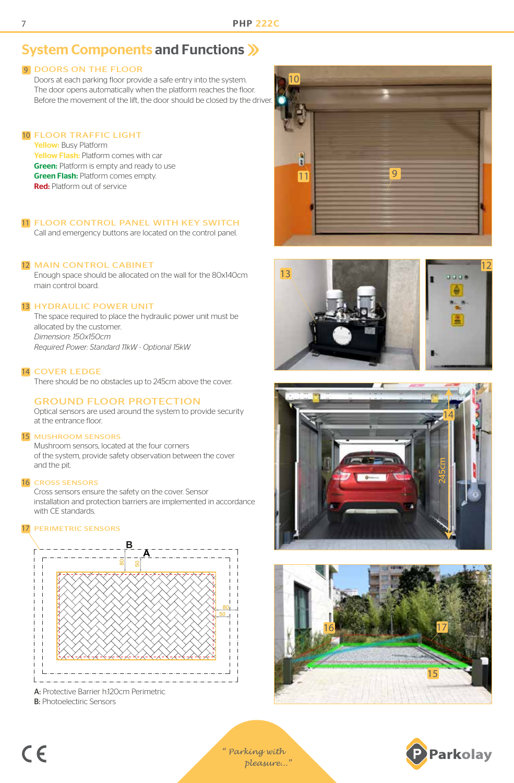# System Components and Functions

# **9 DOORS ON THE FLOOR**

Doors at each parking floor provide a safe entry into the system. The door opens automatically when the platform reaches the floor. Before the movement of the lift, the door should be closed by the driver.

# FLOOR TRAFFIC LIGHT 10

Yellow: Busy Platform Yellow Flash: Platform comes with car **Green:** Platform is empty and ready to use **Green Flash: Platform comes empty.** Red: Platform out of service

# 11 FLOOR CONTROL PANEL WITH KEY SWITCH

Call and emergency buttons are located on the control panel.

# 12 MAIN CONTROL CABINET

Enough space should be allocated on the wall for the 80x140cm main control board.

# 13 HYDRAULIC POWER UNIT

The space required to place the hydraulic power unit must be allocated by the customer. *Dimension: 150x150cm Required Power: Standard 11kW - Optional 15kW*

# 14 COVER LEDGE

There should be no obstacles up to 245cm above the cover.

# GROUND FLOOR PROTECTION

Optical sensors are used around the system to provide security at the entrance floor.

#### 15 MUSHROOM SENSORS

Mushroom sensors, located at the four corners of the system, provide safety observation between the cover and the pit.

#### 16 CROSS SENSORS

Cross sensors ensure the safety on the cover. Sensor installation and protection barriers are implemented in accordance with CE standards.

#### 17 PERIMETRIC SENSORS



A: Protective Barrier h:120cm Perimetric B: Photoelectiric Sensors











*" Parking with pleasure..."*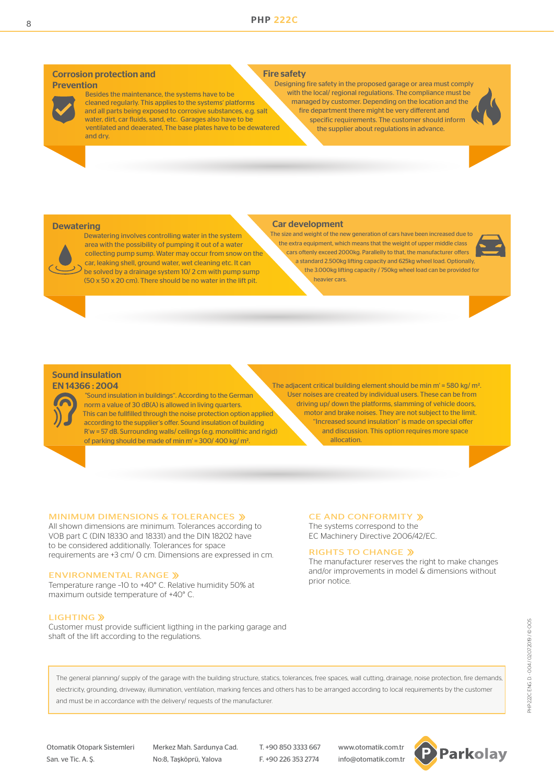#### Corrosion protection and Prevention



 Besides the maintenance, the systems have to be cleaned regularly. This applies to the systems' platforms and all parts being exposed to corrosive substances, e.g. salt water, dirt, car fluids, sand, etc. Garages also have to be ventilated and deaerated, The base plates have to be dewatered and dry.

#### Fire safety

 Designing fire safety in the proposed garage or area must comply with the local/ regional regulations. The compliance must be managed by customer. Depending on the location and the fire department there might be very different and specific requirements. The customer should inform the supplier about regulations in advance.

#### **Dewatering**



 Dewatering involves controlling water in the system area with the possibility of pumping it out of a water collecting pump sump. Water may occur from snow on the car, leaking shell, ground water, wet cleaning etc. It can be solved by a drainage system 10/ 2 cm with pump sump (50 x 50 x 20 cm). There should be no water in the lift pit.

#### Car development

 The size and weight of the new generation of cars have been increased due to the extra equipment, which means that the weight of upper middle class cars oftenly exceed 2000kg. Parallelly to that, the manufacturer offers a standard 2.500kg lifting capacity and 625kg wheel load. Optionally, the 3.000kg lifting capacity / 750kg wheel load can be provided for heavier cars.



#### Sound insulation EN 14366 : 2004

 "Sound insulation in buildings". According to the German norm a value of 30 dB(A) is allowed in living quarters. This can be fullfilled through the noise protection option applied according to the supplier's offer. Sound insulation of building R'w = 57 dB. Surrounding walls/ ceilings (e.g. monolithic and rigid) of parking should be made of min m' = 300/ 400 kg/ m2.

The adjacent critical building element should be min m' = 580 kg/ m<sup>2</sup>. User noises are created by individual users. These can be from driving up/ down the platforms, slamming of vehicle doors, motor and brake noises. They are not subject to the limit. "Increased sound insulation" is made on special offer and discussion. This option requires more space allocation.

#### MINIMUM DIMENSIONS & TOLERANCES »

All shown dimensions are minimum. Tolerances according to VOB part C (DIN 18330 and 18331) and the DIN 18202 have to be considered additionally. Tolerances for space requirements are +3 cm/ 0 cm. Dimensions are expressed in cm.

# ENVIRONMENTAL RANGE »

Temperature range –10 to +40° C. Relative humidity 50% at maximum outside temperature of +40° C.

#### **LIGHTING »**

Customer must provide sufficient ligthing in the parking garage and shaft of the lift according to the regulations.

## CE AND CONFORMITY »

The systems correspond to the EC Machinery Directive 2006/42/EC.

#### RIGHTS TO CHANGE »

The manufacturer reserves the right to make changes and/or improvements in model & dimensions without prior notice.

The general planning/ supply of the garage with the building structure, statics, tolerances, free spaces, wall cutting, drainage, noise protection, fire demands electricity, grounding, driveway, illumination, ventilation, marking fences and others has to be arranged according to local requirements by the customer and must be in accordance with the delivery/ requests of the manufacturer.

San. ve Tic. A. Ş. No:8, Taşköprü, Yalova F. +90 226 353 2774 info@otomatik.com.tr

Otomatik Otopark Sistemleri Merkez Mah. Sardunya Cad. T. +90 850 3333 667 www.otomatik.com.tr

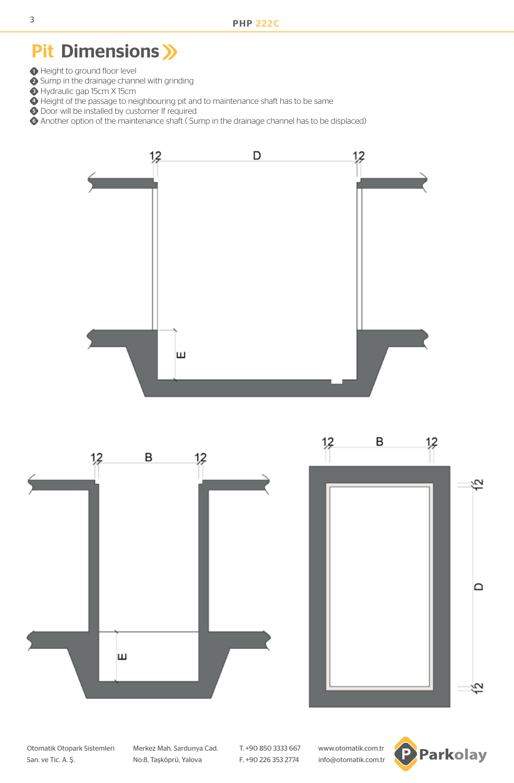# Pit Dimensions >>>

- **1** Height to ground floor level
- 2 Sump in the drainage channel with grinding
- **3** Hydraulic gap 15cm X 15cm
- $\bullet$  Height of the passage to neighbouring pit and to maintenance shaft has to be same
- **5** Door will be installed by customer If required
- Another option of the maintenance shaft ( Sump in the drainage channel has to be displaced) 6





Otomatik Otopark Sistemleri Merkez Mah. Sardunya Cad. T. +90 850 3333 667 www.otomatik.com.tr San. ve Tic. A. Ş. No:8, Taşköprü, Yalova F. +90 226 353 2774 info@otomatik.com.tr